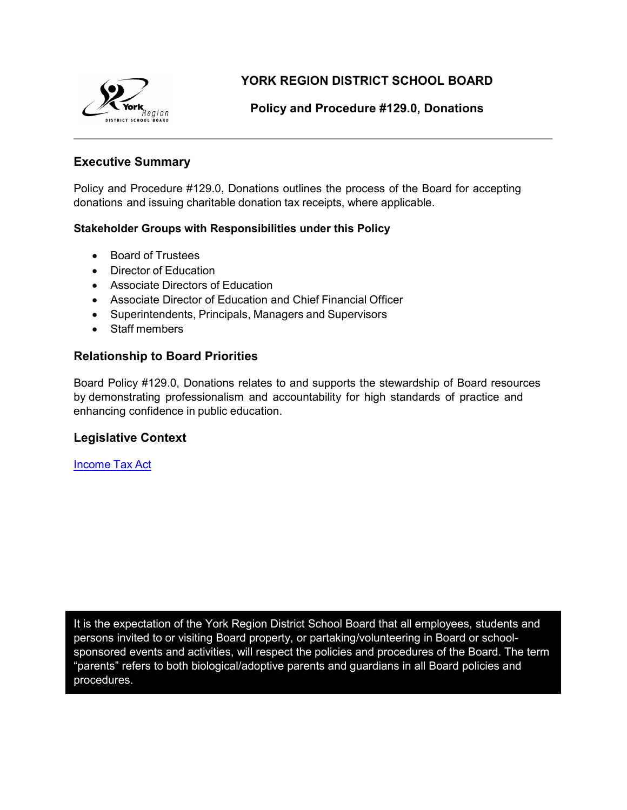

**YORK REGION DISTRICT SCHOOL BOARD**

# **Policy and Procedure #129.0, Donations**

# **Executive Summary**

Policy and Procedure #129.0, Donations outlines the process of the Board for accepting donations and issuing charitable donation tax receipts, where applicable.

#### **Stakeholder Groups with Responsibilities under this Policy**

- Board of Trustees
- Director of Education
- Associate Directors of Education
- Associate Director of Education and Chief Financial Officer
- Superintendents, Principals, Managers and Supervisors
- Staff members

# **Relationship to Board Priorities**

Board Policy #129.0, Donations relates to and supports the stewardship of Board resources by demonstrating professionalism and accountability for high standards of practice and enhancing confidence in public education.

# **Legislative Context**

[Income](http://laws-lois.justice.gc.ca/eng/acts/I-3.3/) Tax Act

It is the expectation of the York Region District School Board that all employees, students and persons invited to or visiting Board property, or partaking/volunteering in Board or schoolsponsored events and activities, will respect the policies and procedures of the Board. The term "parents" refers to both biological/adoptive parents and guardians in all Board policies and procedures.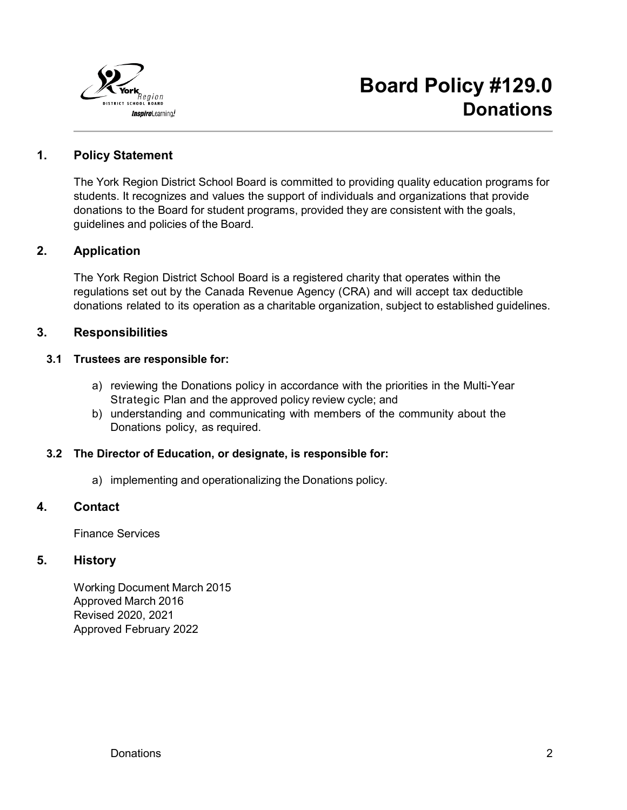

# **1. Policy Statement**

The York Region District School Board is committed to providing quality education programs for students. It recognizes and values the support of individuals and organizations that provide donations to the Board for student programs, provided they are consistent with the goals, guidelines and policies of the Board.

# **2. Application**

The York Region District School Board is a registered charity that operates within the regulations set out by the Canada Revenue Agency (CRA) and will accept tax deductible donations related to its operation as a charitable organization, subject to established guidelines.

# **3. Responsibilities**

#### **3.1 Trustees are responsible for:**

- a) reviewing the Donations policy in accordance with the priorities in the Multi-Year Strategic Plan and the approved policy review cycle; and
- b) understanding and communicating with members of the community about the Donations policy, as required.

# **3.2 The Director of Education, or designate, is responsible for:**

a) implementing and operationalizing the Donations policy.

#### **4. Contact**

Finance Services

# **5. History**

Working Document March 2015 Approved March 2016 Revised 2020, 2021 Approved February 2022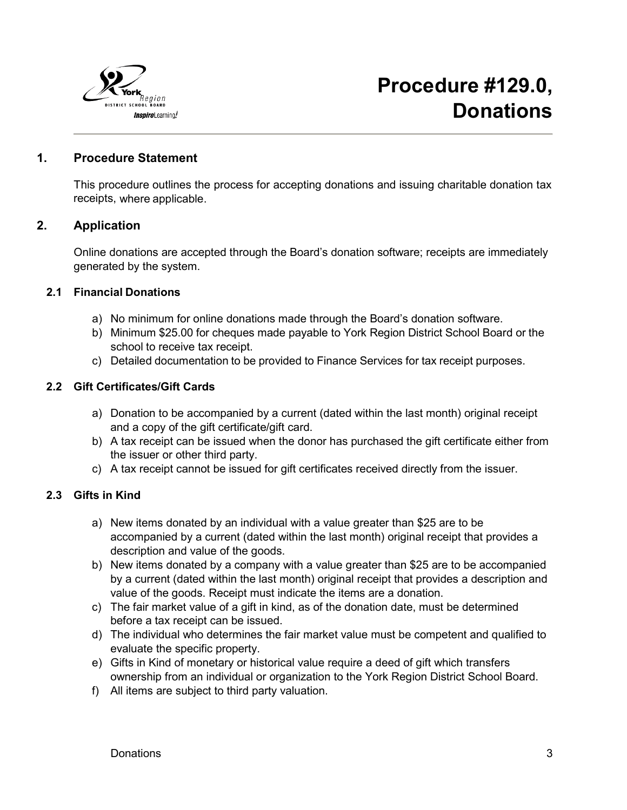

### **1. Procedure Statement**

This procedure outlines the process for accepting donations and issuing charitable donation tax receipts, where applicable.

#### **2. Application**

Online donations are accepted through the Board's donation software; receipts are immediately generated by the system.

#### **2.1 Financial Donations**

- a) No minimum for online donations made through the Board's donation software.
- b) Minimum \$25.00 for cheques made payable to York Region District School Board or the school to receive tax receipt.
- c) Detailed documentation to be provided to Finance Services for tax receipt purposes.

#### **2.2 Gift Certificates/Gift Cards**

- a) Donation to be accompanied by a current (dated within the last month) original receipt and a copy of the gift certificate/gift card.
- b) A tax receipt can be issued when the donor has purchased the gift certificate either from the issuer or other third party.
- c) A tax receipt cannot be issued for gift certificates received directly from the issuer.

# **2.3 Gifts in Kind**

- a) New items donated by an individual with a value greater than \$25 are to be accompanied by a current (dated within the last month) original receipt that provides a description and value of the goods.
- b) New items donated by a company with a value greater than \$25 are to be accompanied by a current (dated within the last month) original receipt that provides a description and value of the goods. Receipt must indicate the items are a donation.
- c) The fair market value of a gift in kind, as of the donation date, must be determined before a tax receipt can be issued.
- d) The individual who determines the fair market value must be competent and qualified to evaluate the specific property.
- e) Gifts in Kind of monetary or historical value require a deed of gift which transfers ownership from an individual or organization to the York Region District School Board.
- f) All items are subject to third party valuation.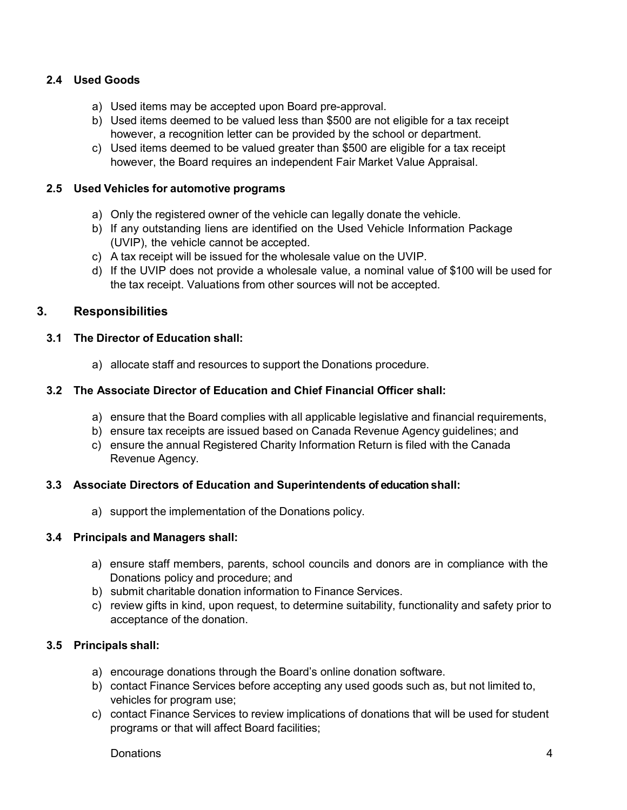# **2.4 Used Goods**

- a) Used items may be accepted upon Board pre-approval.
- b) Used items deemed to be valued less than \$500 are not eligible for a tax receipt however, a recognition letter can be provided by the school or department.
- c) Used items deemed to be valued greater than \$500 are eligible for a tax receipt however, the Board requires an independent Fair Market Value Appraisal.

#### **2.5 Used Vehicles for automotive programs**

- a) Only the registered owner of the vehicle can legally donate the vehicle.
- b) If any outstanding liens are identified on the Used Vehicle Information Package (UVIP), the vehicle cannot be accepted.
- c) A tax receipt will be issued for the wholesale value on the UVIP.
- d) If the UVIP does not provide a wholesale value, a nominal value of \$100 will be used for the tax receipt. Valuations from other sources will not be accepted.

# **3. Responsibilities**

#### **3.1 The Director of Education shall:**

a) allocate staff and resources to support the Donations procedure.

#### **3.2 The Associate Director of Education and Chief Financial Officer shall:**

- a) ensure that the Board complies with all applicable legislative and financial requirements,
- b) ensure tax receipts are issued based on Canada Revenue Agency guidelines; and
- c) ensure the annual Registered Charity Information Return is filed with the Canada Revenue Agency.

# **3.3 Associate Directors of Education and Superintendents of education shall:**

a) support the implementation of the Donations policy.

# **3.4 Principals and Managers shall:**

- a) ensure staff members, parents, school councils and donors are in compliance with the Donations policy and procedure; and
- b) submit charitable donation information to Finance Services.
- c) review gifts in kind, upon request, to determine suitability, functionality and safety prior to acceptance of the donation.

# **3.5 Principals shall:**

- a) encourage donations through the Board's online donation software.
- b) contact Finance Services before accepting any used goods such as, but not limited to, vehicles for program use;
- c) contact Finance Services to review implications of donations that will be used for student programs or that will affect Board facilities;

Donations 4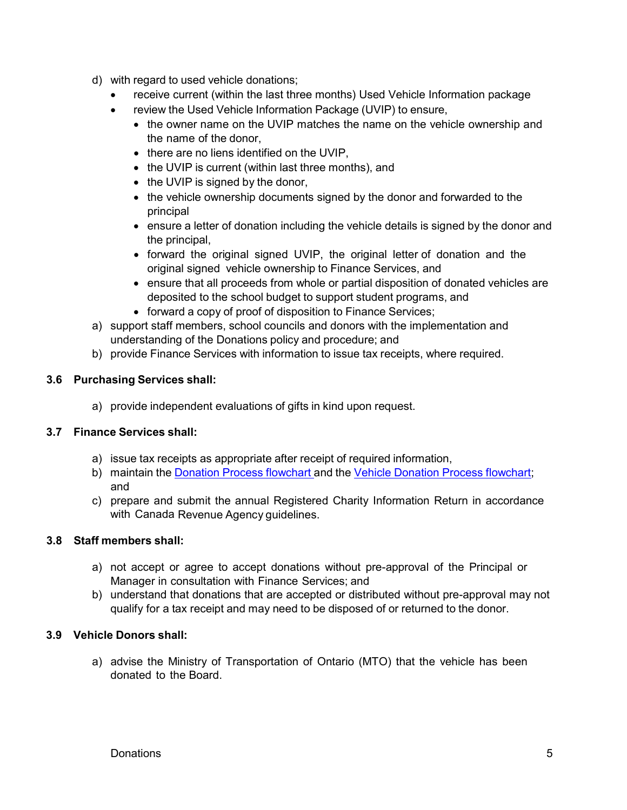- d) with regard to used vehicle donations;
	- receive current (within the last three months) Used Vehicle Information package
	- review the Used Vehicle Information Package (UVIP) to ensure,
		- the owner name on the UVIP matches the name on the vehicle ownership and the name of the donor
		- there are no liens identified on the UVIP,
		- the UVIP is current (within last three months), and
		- the UVIP is signed by the donor,
		- the vehicle ownership documents signed by the donor and forwarded to the principal
		- ensure a letter of donation including the vehicle details is signed by the donor and the principal,
		- forward the original signed UVIP, the original letter of donation and the original signed vehicle ownership to Finance Services, and
		- ensure that all proceeds from whole or partial disposition of donated vehicles are deposited to the school budget to support student programs, and
		- forward a copy of proof of disposition to Finance Services;
- a) support staff members, school councils and donors with the implementation and understanding of the Donations policy and procedure; and
- b) provide Finance Services with information to issue tax receipts, where required.

# **3.6 Purchasing Services shall:**

a) provide independent evaluations of gifts in kind upon request.

# **3.7 Finance Services shall:**

- a) issue tax receipts as appropriate after receipt of required information,
- b) maintain the Donation Process [flowchart](https://bww.yrdsb.ca/services/finance/Pages/Donations.aspx) and the Vehicle Donation Process [flowchart;](https://bww.yrdsb.ca/services/finance/Pages/Donations.aspx) and
- c) prepare and submit the annual Registered Charity Information Return in accordance with Canada Revenue Agency guidelines.

#### **3.8 Staff members shall:**

- a) not accept or agree to accept donations without pre-approval of the Principal or Manager in consultation with Finance Services; and
- b) understand that donations that are accepted or distributed without pre-approval may not qualify for a tax receipt and may need to be disposed of or returned to the donor.

# **3.9 Vehicle Donors shall:**

a) advise the Ministry of Transportation of Ontario (MTO) that the vehicle has been donated to the Board.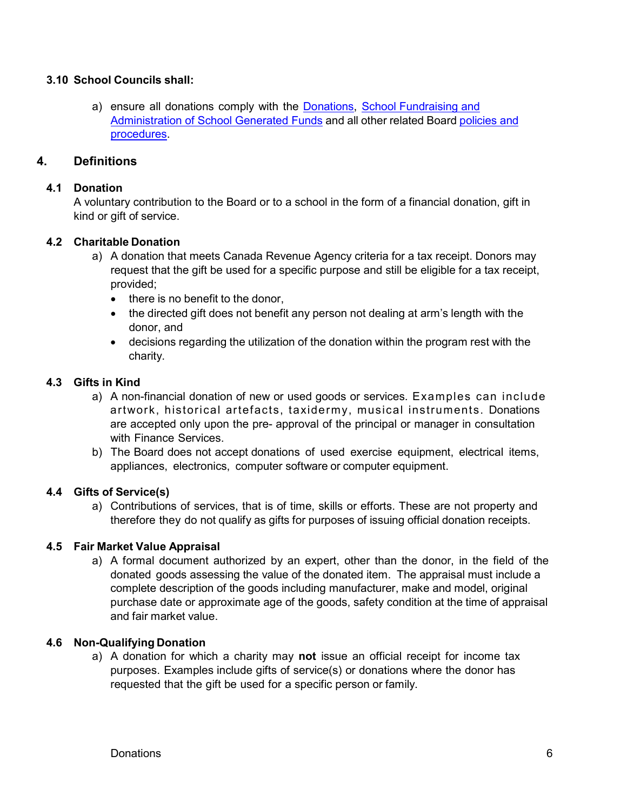#### **3.10 School Councils shall:**

a) ensure all donations comply with the **Donations**, **School Fundraising and** [Administration of School](http://www.yrdsb.ca/boarddocs/Documents/PP-schoolfundraising-676.pdf) Generated Funds and all other related Board [policies](http://www.yrdsb.ca/AboutUs/Policy/Pages/Policies-and-Procedures.aspx) and [procedures.](http://www.yrdsb.ca/AboutUs/Policy/Pages/Policies-and-Procedures.aspx)

# **4. Definitions**

### **4.1 Donation**

A voluntary contribution to the Board or to a school in the form of a financial donation, gift in kind or gift of service.

# **4.2 Charitable Donation**

- a) A donation that meets Canada Revenue Agency criteria for a tax receipt. Donors may request that the gift be used for a specific purpose and still be eligible for a tax receipt, provided;
	- there is no benefit to the donor,
	- the directed gift does not benefit any person not dealing at arm's length with the donor, and
	- decisions regarding the utilization of the donation within the program rest with the charity.

#### **4.3 Gifts in Kind**

- a) A non-financial donation of new or used goods or services. Examples can include artwork, historical artefacts, taxidermy, musical instruments. Donations are accepted only upon the pre- approval of the principal or manager in consultation with Finance Services.
- b) The Board does not accept donations of used exercise equipment, electrical items, appliances, electronics, computer software or computer equipment.

#### **4.4 Gifts of Service(s)**

a) Contributions of services, that is of time, skills or efforts. These are not property and therefore they do not qualify as gifts for purposes of issuing official donation receipts.

#### **4.5 Fair Market Value Appraisal**

a) A formal document authorized by an expert, other than the donor, in the field of the donated goods assessing the value of the donated item. The appraisal must include a complete description of the goods including manufacturer, make and model, original purchase date or approximate age of the goods, safety condition at the time of appraisal and fair market value.

#### **4.6 Non-Qualifying Donation**

a) A donation for which a charity may **not** issue an official receipt for income tax purposes. Examples include gifts of service(s) or donations where the donor has requested that the gift be used for a specific person or family.